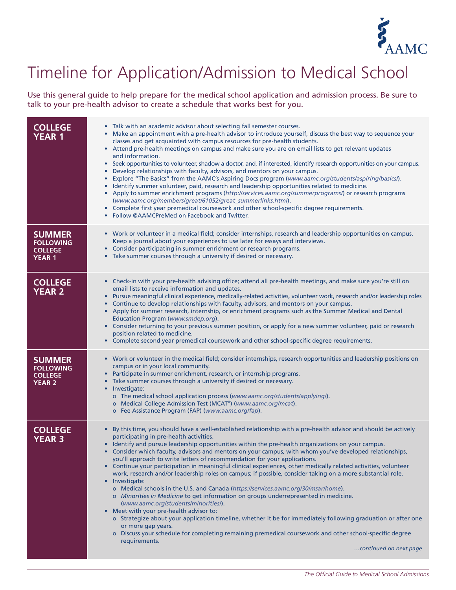

## Timeline for Application/Admission to Medical School

Use this general guide to help prepare for the medical school application and admission process. Be sure to talk to your pre-health advisor to create a schedule that works best for you.

| <b>COLLEGE</b><br><b>YEAR 1</b>                                      | • Talk with an academic advisor about selecting fall semester courses.<br>Make an appointment with a pre-health advisor to introduce yourself, discuss the best way to sequence your<br>٠<br>classes and get acquainted with campus resources for pre-health students.<br>• Attend pre-health meetings on campus and make sure you are on email lists to get relevant updates<br>and information.<br>Seek opportunities to volunteer, shadow a doctor, and, if interested, identify research opportunities on your campus.<br>$\bullet$<br>Develop relationships with faculty, advisors, and mentors on your campus.<br>$\bullet$<br>Explore "The Basics" from the AAMC's Aspiring Docs program (www.aamc.org/students/aspiring/basics/).<br>$\bullet$<br>Identify summer volunteer, paid, research and leadership opportunities related to medicine.<br>$\bullet$<br>• Apply to summer enrichment programs (http://services.aamc.org/summerprograms/) or research programs<br>(www.aamc.org/members/great/61052/great_summerlinks.html).<br>Complete first year premedical coursework and other school-specific degree requirements.<br>$\bullet$<br>Follow @AAMCPreMed on Facebook and Twitter.<br>$\bullet$                                                                                 |
|----------------------------------------------------------------------|------------------------------------------------------------------------------------------------------------------------------------------------------------------------------------------------------------------------------------------------------------------------------------------------------------------------------------------------------------------------------------------------------------------------------------------------------------------------------------------------------------------------------------------------------------------------------------------------------------------------------------------------------------------------------------------------------------------------------------------------------------------------------------------------------------------------------------------------------------------------------------------------------------------------------------------------------------------------------------------------------------------------------------------------------------------------------------------------------------------------------------------------------------------------------------------------------------------------------------------------------------------------------------------------|
| <b>SUMMER</b><br><b>FOLLOWING</b><br><b>COLLEGE</b><br><b>YEAR 1</b> | • Work or volunteer in a medical field; consider internships, research and leadership opportunities on campus.<br>Keep a journal about your experiences to use later for essays and interviews.<br>Consider participating in summer enrichment or research programs.<br>• Take summer courses through a university if desired or necessary.                                                                                                                                                                                                                                                                                                                                                                                                                                                                                                                                                                                                                                                                                                                                                                                                                                                                                                                                                    |
| <b>COLLEGE</b><br><b>YEAR 2</b>                                      | • Check-in with your pre-health advising office; attend all pre-health meetings, and make sure you're still on<br>email lists to receive information and updates.<br>• Pursue meaningful clinical experience, medically-related activities, volunteer work, research and/or leadership roles<br>Continue to develop relationships with faculty, advisors, and mentors on your campus.<br>$\bullet$<br>Apply for summer research, internship, or enrichment programs such as the Summer Medical and Dental<br>$\bullet$<br>Education Program (www.smdep.org).<br>• Consider returning to your previous summer position, or apply for a new summer volunteer, paid or research<br>position related to medicine.<br>• Complete second year premedical coursework and other school-specific degree requirements.                                                                                                                                                                                                                                                                                                                                                                                                                                                                                   |
| <b>SUMMER</b><br><b>FOLLOWING</b><br><b>COLLEGE</b><br><b>YEAR 2</b> | • Work or volunteer in the medical field; consider internships, research opportunities and leadership positions on<br>campus or in your local community.<br>Participate in summer enrichment, research, or internship programs.<br>$\bullet$<br>Take summer courses through a university if desired or necessary.<br>$\bullet$<br>Investigate:<br>$\bullet$<br>o The medical school application process (www.aamc.org/students/applying/).<br>o Medical College Admission Test (MCAT®) (www.aamc.org/mcat).<br>o Fee Assistance Program (FAP) (www.aamc.org/fap).                                                                                                                                                                                                                                                                                                                                                                                                                                                                                                                                                                                                                                                                                                                              |
| <b>COLLEGE</b><br><b>YEAR 3</b>                                      | By this time, you should have a well-established relationship with a pre-health advisor and should be actively<br>$\bullet$<br>participating in pre-health activities.<br>Identify and pursue leadership opportunities within the pre-health organizations on your campus.<br>Consider which faculty, advisors and mentors on your campus, with whom you've developed relationships,<br>$\bullet$<br>you'll approach to write letters of recommendation for your applications.<br>• Continue your participation in meaningful clinical experiences, other medically related activities, volunteer<br>work, research and/or leadership roles on campus; if possible, consider taking on a more substantial role.<br>• Investigate:<br>o Medical schools in the U.S. and Canada (https://services.aamc.org/30/msar/home).<br>o Minorities in Medicine to get information on groups underrepresented in medicine.<br>(www.aamc.org/students/minorities/).<br>• Meet with your pre-health advisor to:<br>o Strategize about your application timeline, whether it be for immediately following graduation or after one<br>or more gap years.<br>o Discuss your schedule for completing remaining premedical coursework and other school-specific degree<br>requirements.<br>continued on next page |